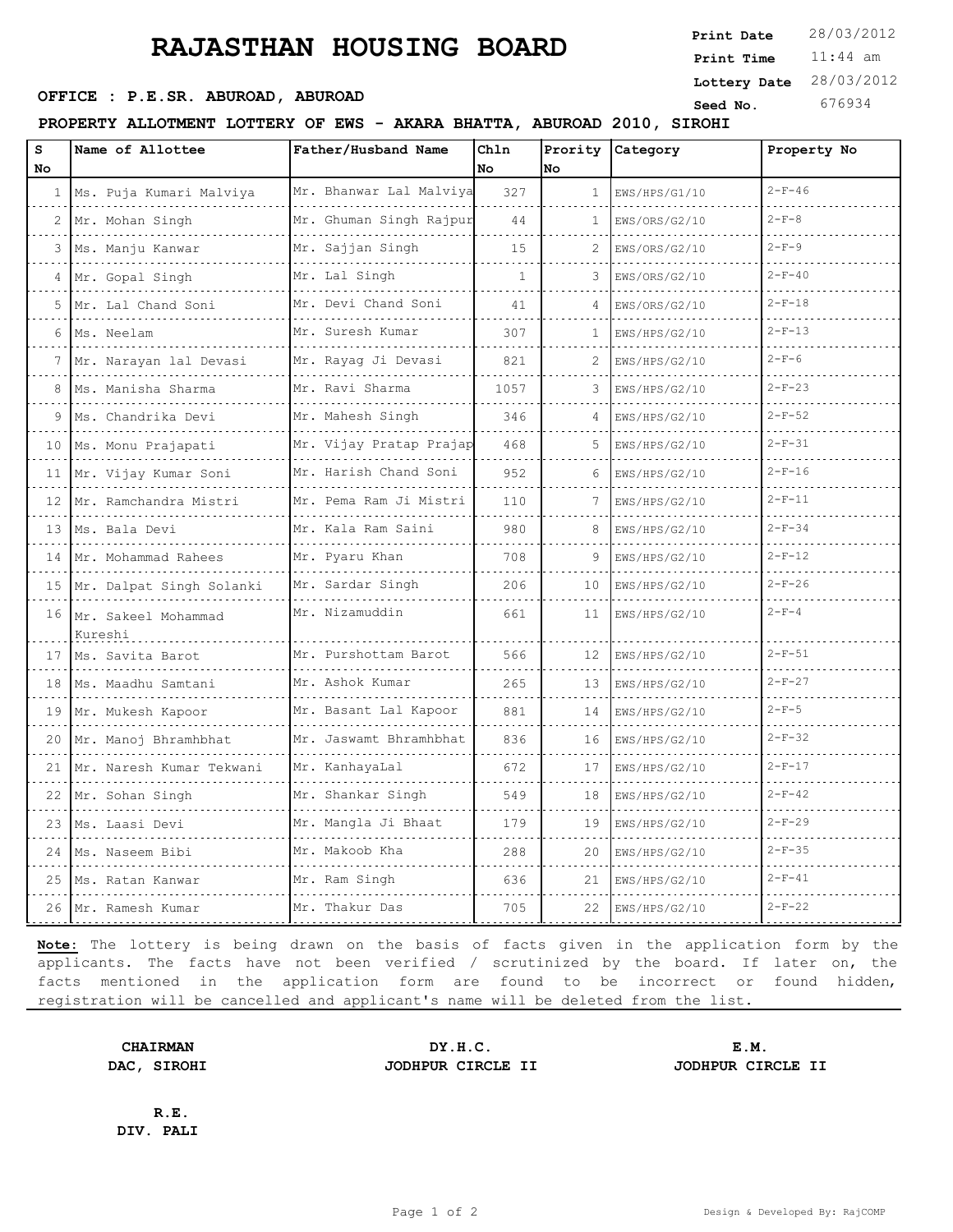## **RAJASTHAN HOUSING BOARD**

**OFFICE : P.E.SR. ABUROAD, ABUROAD Seed No.** 676934

**PROPERTY ALLOTMENT LOTTERY OF EWS - AKARA BHATTA, ABUROAD 2010, SIROHI**

| s  | Name of Allottee                  | Father/Husband Name         | Ch1n |              | Prority Category | Property No  |
|----|-----------------------------------|-----------------------------|------|--------------|------------------|--------------|
| No |                                   |                             | No   | No           |                  |              |
| 1  | Ms. Puja Kumari Malviya           | Mr. Bhanwar Lal Malviya     | 327  | $\mathbf{1}$ | EWS/HPS/G1/10    | $2-F-46$     |
|    | 2 Mr. Mohan Singh                 | Mr. Ghuman Singh Rajpur     | 44   | 1            | EWS/ORS/G2/10    | $2 - F - 8$  |
| 3  | Ms. Manju Kanwar                  | Mr. Sajjan Singh            | 15   |              | EWS/ORS/G2/10    | $2 - F - 9$  |
|    | Mr. Gopal Singh                   | Mr. Lal Singh               | 1    | 3            | EWS/ORS/G2/10    | $2-F-40$     |
| 5  | Mr. Lal Chand Soni                | Mr. Devi Chand Soni         | 41   |              | EWS/ORS/G2/10    | $2-F-18$     |
| 6  | Ms. Neelam                        | Mr. Suresh Kumar            | 307  | -1           | EWS/HPS/G2/10    | $2-F-13$     |
| 7  | Mr. Narayan lal Devasi            | Mr. Rayaq Ji Devasi         | 821  | 2            | EWS/HPS/G2/10    | $2-F-6$      |
| 8  | Ms. Manisha Sharma                | Mr. Ravi Sharma<br>.        | 1057 | 3            | EWS/HPS/G2/10    | $2 - F - 23$ |
|    | Ms. Chandrika Devi                | Mr. Mahesh Singh            | 346  |              | EWS/HPS/G2/10    | $2-F-52$     |
| 10 | Ms. Monu Prajapati                | Mr. Vijay Pratap Prajap     | 468  | 5            | EWS/HPS/G2/10    | $2 - F - 31$ |
|    | 11 Mr. Vijay Kumar Soni           | Mr. Harish Chand Soni       | 952  |              | EWS/HPS/G2/10    | $2 - F - 16$ |
|    | 12 Mr. Ramchandra Mistri          | Mr. Pema Ram Ji Mistri<br>. | 110  | 7            | EWS/HPS/G2/10    | $2 - F - 11$ |
| 13 | Ms. Bala Devi                     | Mr. Kala Ram Saini<br>.     | 980  |              | EWS/HPS/G2/10    | $2-F-34$     |
| 14 | Mr. Mohammad Rahees               | Mr. Pyaru Khan<br>.         | 708  |              | EWS/HPS/G2/10    | $2-F-12$     |
|    | 15 Mr. Dalpat Singh Solanki       | Mr. Sardar Singh            | 206  | 10           | EWS/HPS/G2/10    | $2-F-26$     |
|    | 16 Mr. Sakeel Mohammad<br>Kureshi | Mr. Nizamuddin              | 661  | 11           | EWS/HPS/G2/10    | $2 - F - 4$  |
|    | 17   Ms. Savita Barot             | Mr. Purshottam Barot        | 566  | 12           | EWS/HPS/G2/10    | $2 - F - 51$ |
| 18 | Ms. Maadhu Samtani<br><u>.</u>    | Mr. Ashok Kumar<br>.        | 265  | 13           | EWS/HPS/G2/10    | $2-F-27$     |
| 19 | Mr. Mukesh Kapoor                 | Mr. Basant Lal Kapoor       | 881  | 14           | EWS/HPS/G2/10    | $2 - F - 5$  |
| 20 | Mr. Manoj Bhramhbhat              | Mr. Jaswamt Bhramhbhat      | 836  | 16           | EWS/HPS/G2/10    | $2-F-32$     |
| 21 | Mr. Naresh Kumar Tekwani          | Mr. KanhayaLal              | 672  | 17           | EWS/HPS/G2/10    | $2 - F - 17$ |
| 22 | Mr. Sohan Singh                   | Mr. Shankar Singh           | 549  | 18           | EWS/HPS/G2/10    | $2 - F - 42$ |
| 23 | Ms. Laasi Devi                    | Mr. Mangla Ji Bhaat         | 179  | 19           | EWS/HPS/G2/10    | $2-F-29$     |
| 24 | Ms. Naseem Bibi                   | Mr. Makoob Kha              | 288  | 20           | EWS/HPS/G2/10    | $2-F-35$     |
| 25 | Ms. Ratan Kanwar                  | Mr. Ram Singh<br>.          | 636  | 21           | EWS/HPS/G2/10    | $2 - F - 41$ |
|    | 26 Mr. Ramesh Kumar               | Mr. Thakur Das              | 705  | 22           | EWS/HPS/G2/10    | $2-F-22$     |

**Note:** The lottery is being drawn on the basis of facts given in the application form by the applicants. The facts have not been verified / scrutinized by the board. If later on, the facts mentioned in the application form are found to be incorrect or found hidden, registration will be cancelled and applicant's name will be deleted from the list.

**DAC, SIROHI JODHPUR CIRCLE II JODHPUR CIRCLE II**

**CHAIRMAN DY.H.C. E.M.**

**R.E. DIV. PALI**

11:44 am **Print Time Print Date**  $28/03/2012$ **Lottery Date** 28/03/2012